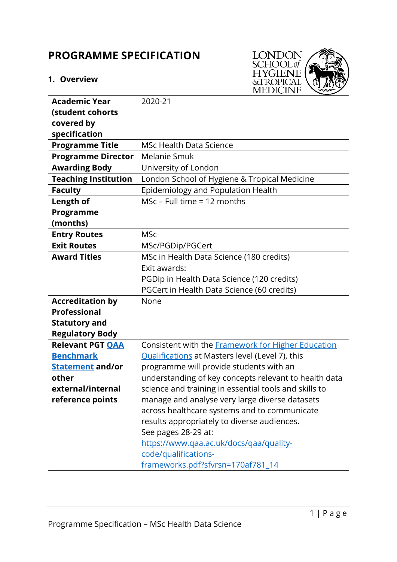# **PROGRAMME SPECIFICATION**

# **1. Overview**



| <b>Academic Year</b>        | 2020-21                                                   |  |  |
|-----------------------------|-----------------------------------------------------------|--|--|
| (student cohorts            |                                                           |  |  |
| covered by                  |                                                           |  |  |
| specification               |                                                           |  |  |
| <b>Programme Title</b>      | <b>MSc Health Data Science</b>                            |  |  |
| <b>Programme Director</b>   | Melanie Smuk                                              |  |  |
| <b>Awarding Body</b>        | University of London                                      |  |  |
| <b>Teaching Institution</b> | London School of Hygiene & Tropical Medicine              |  |  |
| <b>Faculty</b>              | Epidemiology and Population Health                        |  |  |
| Length of                   | MSc - Full time = 12 months                               |  |  |
| Programme                   |                                                           |  |  |
| (months)                    |                                                           |  |  |
| <b>Entry Routes</b>         | <b>MSc</b>                                                |  |  |
| <b>Exit Routes</b>          | MSc/PGDip/PGCert                                          |  |  |
| <b>Award Titles</b>         | MSc in Health Data Science (180 credits)                  |  |  |
|                             | Exit awards:                                              |  |  |
|                             | PGDip in Health Data Science (120 credits)                |  |  |
|                             | PGCert in Health Data Science (60 credits)                |  |  |
| <b>Accreditation by</b>     | None                                                      |  |  |
| <b>Professional</b>         |                                                           |  |  |
| <b>Statutory and</b>        |                                                           |  |  |
| <b>Regulatory Body</b>      |                                                           |  |  |
| <b>Relevant PGT QAA</b>     | Consistent with the <b>Framework</b> for Higher Education |  |  |
| <b>Benchmark</b>            | <b>Qualifications</b> at Masters level (Level 7), this    |  |  |
| <b>Statement and/or</b>     | programme will provide students with an                   |  |  |
| other                       | understanding of key concepts relevant to health data     |  |  |
| external/internal           | science and training in essential tools and skills to     |  |  |
| reference points            | manage and analyse very large diverse datasets            |  |  |
|                             | across healthcare systems and to communicate              |  |  |
|                             | results appropriately to diverse audiences.               |  |  |
|                             | See pages 28-29 at:                                       |  |  |
|                             | https://www.qaa.ac.uk/docs/qaa/quality-                   |  |  |
|                             | code/qualifications-                                      |  |  |
|                             | frameworks.pdf?sfvrsn=170af781_14                         |  |  |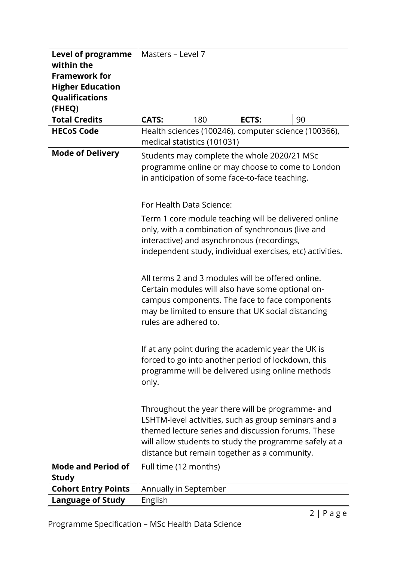| <b>Level of programme</b>  |                                                                                                    | Masters - Level 7                                         |                                                      |    |  |
|----------------------------|----------------------------------------------------------------------------------------------------|-----------------------------------------------------------|------------------------------------------------------|----|--|
| within the                 |                                                                                                    |                                                           |                                                      |    |  |
| <b>Framework for</b>       |                                                                                                    |                                                           |                                                      |    |  |
| <b>Higher Education</b>    |                                                                                                    |                                                           |                                                      |    |  |
| Qualifications             |                                                                                                    |                                                           |                                                      |    |  |
| (FHEQ)                     |                                                                                                    |                                                           |                                                      |    |  |
| <b>Total Credits</b>       | <b>CATS:</b>                                                                                       | 180                                                       | ECTS:                                                | 90 |  |
| <b>HECoS Code</b>          |                                                                                                    |                                                           | Health sciences (100246), computer science (100366), |    |  |
|                            | medical statistics (101031)                                                                        |                                                           |                                                      |    |  |
| <b>Mode of Delivery</b>    |                                                                                                    |                                                           | Students may complete the whole 2020/21 MSc          |    |  |
|                            | programme online or may choose to come to London                                                   |                                                           |                                                      |    |  |
|                            |                                                                                                    |                                                           | in anticipation of some face-to-face teaching.       |    |  |
|                            |                                                                                                    |                                                           |                                                      |    |  |
|                            |                                                                                                    |                                                           |                                                      |    |  |
|                            | For Health Data Science:                                                                           |                                                           |                                                      |    |  |
|                            | Term 1 core module teaching will be delivered online                                               |                                                           |                                                      |    |  |
|                            | only, with a combination of synchronous (live and                                                  |                                                           |                                                      |    |  |
|                            | interactive) and asynchronous (recordings,                                                         |                                                           |                                                      |    |  |
|                            |                                                                                                    | independent study, individual exercises, etc) activities. |                                                      |    |  |
|                            |                                                                                                    |                                                           |                                                      |    |  |
|                            |                                                                                                    |                                                           |                                                      |    |  |
|                            | All terms 2 and 3 modules will be offered online.                                                  |                                                           |                                                      |    |  |
|                            | Certain modules will also have some optional on-<br>campus components. The face to face components |                                                           |                                                      |    |  |
|                            |                                                                                                    |                                                           |                                                      |    |  |
|                            | may be limited to ensure that UK social distancing<br>rules are adhered to.                        |                                                           |                                                      |    |  |
|                            |                                                                                                    |                                                           |                                                      |    |  |
|                            |                                                                                                    |                                                           |                                                      |    |  |
|                            | If at any point during the academic year the UK is                                                 |                                                           |                                                      |    |  |
|                            | forced to go into another period of lockdown, this                                                 |                                                           |                                                      |    |  |
|                            | programme will be delivered using online methods                                                   |                                                           |                                                      |    |  |
|                            | only.                                                                                              |                                                           |                                                      |    |  |
|                            |                                                                                                    |                                                           |                                                      |    |  |
|                            |                                                                                                    |                                                           |                                                      |    |  |
|                            | Throughout the year there will be programme- and                                                   |                                                           |                                                      |    |  |
|                            | LSHTM-level activities, such as group seminars and a                                               |                                                           |                                                      |    |  |
|                            | themed lecture series and discussion forums. These                                                 |                                                           |                                                      |    |  |
|                            | will allow students to study the programme safely at a                                             |                                                           |                                                      |    |  |
|                            | distance but remain together as a community.                                                       |                                                           |                                                      |    |  |
| <b>Mode and Period of</b>  | Full time (12 months)                                                                              |                                                           |                                                      |    |  |
| <b>Study</b>               |                                                                                                    |                                                           |                                                      |    |  |
| <b>Cohort Entry Points</b> | Annually in September                                                                              |                                                           |                                                      |    |  |
| <b>Language of Study</b>   | English                                                                                            |                                                           |                                                      |    |  |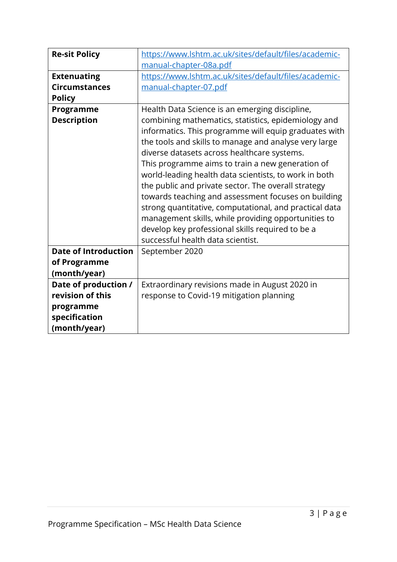| <b>Re-sit Policy</b>        | https://www.lshtm.ac.uk/sites/default/files/academic-  |  |  |  |  |  |
|-----------------------------|--------------------------------------------------------|--|--|--|--|--|
|                             | manual-chapter-08a.pdf                                 |  |  |  |  |  |
| <b>Extenuating</b>          | https://www.lshtm.ac.uk/sites/default/files/academic-  |  |  |  |  |  |
| <b>Circumstances</b>        | manual-chapter-07.pdf                                  |  |  |  |  |  |
| <b>Policy</b>               |                                                        |  |  |  |  |  |
| Programme                   | Health Data Science is an emerging discipline,         |  |  |  |  |  |
| <b>Description</b>          | combining mathematics, statistics, epidemiology and    |  |  |  |  |  |
|                             | informatics. This programme will equip graduates with  |  |  |  |  |  |
|                             | the tools and skills to manage and analyse very large  |  |  |  |  |  |
|                             | diverse datasets across healthcare systems.            |  |  |  |  |  |
|                             | This programme aims to train a new generation of       |  |  |  |  |  |
|                             | world-leading health data scientists, to work in both  |  |  |  |  |  |
|                             | the public and private sector. The overall strategy    |  |  |  |  |  |
|                             | towards teaching and assessment focuses on building    |  |  |  |  |  |
|                             | strong quantitative, computational, and practical data |  |  |  |  |  |
|                             | management skills, while providing opportunities to    |  |  |  |  |  |
|                             | develop key professional skills required to be a       |  |  |  |  |  |
|                             | successful health data scientist.                      |  |  |  |  |  |
| <b>Date of Introduction</b> | September 2020                                         |  |  |  |  |  |
| of Programme                |                                                        |  |  |  |  |  |
| (month/year)                |                                                        |  |  |  |  |  |
| Date of production /        | Extraordinary revisions made in August 2020 in         |  |  |  |  |  |
| revision of this            | response to Covid-19 mitigation planning               |  |  |  |  |  |
| programme                   |                                                        |  |  |  |  |  |
| specification               |                                                        |  |  |  |  |  |
| (month/year)                |                                                        |  |  |  |  |  |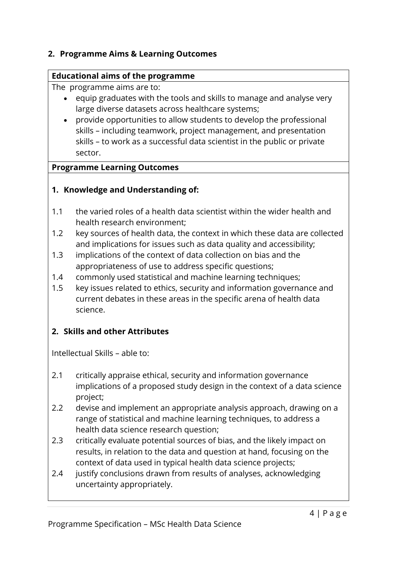## **2. Programme Aims & Learning Outcomes**

#### **Educational aims of the programme**

The programme aims are to:

- equip graduates with the tools and skills to manage and analyse very large diverse datasets across healthcare systems;
- provide opportunities to allow students to develop the professional skills – including teamwork, project management, and presentation skills – to work as a successful data scientist in the public or private sector.

#### **Programme Learning Outcomes**

# **1. Knowledge and Understanding of:**

- 1.1 the varied roles of a health data scientist within the wider health and health research environment;
- 1.2 key sources of health data, the context in which these data are collected and implications for issues such as data quality and accessibility;
- 1.3 implications of the context of data collection on bias and the appropriateness of use to address specific questions;
- 1.4 commonly used statistical and machine learning techniques;
- 1.5 key issues related to ethics, security and information governance and current debates in these areas in the specific arena of health data science.

# **2. Skills and other Attributes**

Intellectual Skills – able to:

- 2.1 critically appraise ethical, security and information governance implications of a proposed study design in the context of a data science project;
- 2.2 devise and implement an appropriate analysis approach, drawing on a range of statistical and machine learning techniques, to address a health data science research question;
- 2.3 critically evaluate potential sources of bias, and the likely impact on results, in relation to the data and question at hand, focusing on the context of data used in typical health data science projects;
- 2.4 justify conclusions drawn from results of analyses, acknowledging uncertainty appropriately.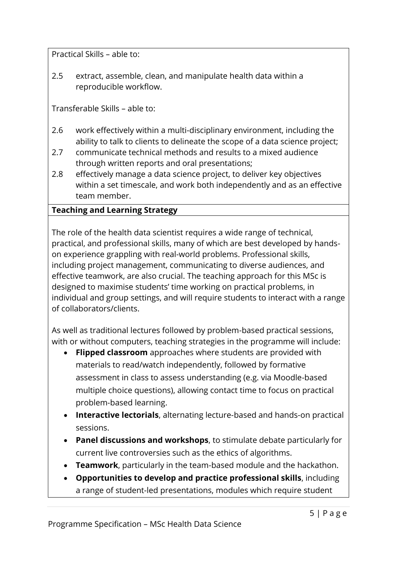Practical Skills – able to:

2.5 extract, assemble, clean, and manipulate health data within a reproducible workflow.

Transferable Skills – able to:

- 2.6 work effectively within a multi-disciplinary environment, including the ability to talk to clients to delineate the scope of a data science project;
- 2.7 communicate technical methods and results to a mixed audience through written reports and oral presentations;
- 2.8 effectively manage a data science project, to deliver key objectives within a set timescale, and work both independently and as an effective team member.

# **Teaching and Learning Strategy**

The role of the health data scientist requires a wide range of technical, practical, and professional skills, many of which are best developed by handson experience grappling with real-world problems. Professional skills, including project management, communicating to diverse audiences, and effective teamwork, are also crucial. The teaching approach for this MSc is designed to maximise students' time working on practical problems, in individual and group settings, and will require students to interact with a range of collaborators/clients.

As well as traditional lectures followed by problem-based practical sessions, with or without computers, teaching strategies in the programme will include:

- **Flipped classroom** approaches where students are provided with materials to read/watch independently, followed by formative assessment in class to assess understanding (e.g. via Moodle-based multiple choice questions), allowing contact time to focus on practical problem-based learning.
- **Interactive lectorials**, alternating lecture-based and hands-on practical sessions.
- **Panel discussions and workshops**, to stimulate debate particularly for current live controversies such as the ethics of algorithms.
- **Teamwork**, particularly in the team-based module and the hackathon.
- **Opportunities to develop and practice professional skills**, including a range of student-led presentations, modules which require student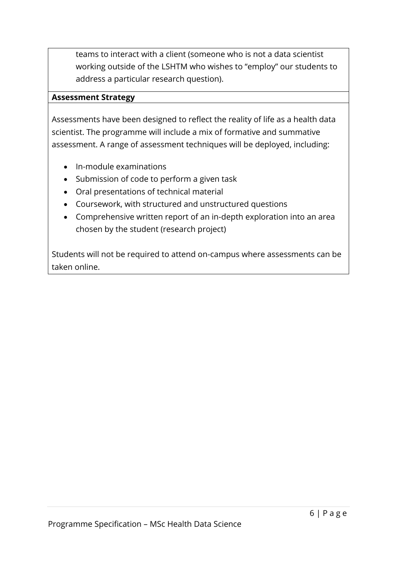teams to interact with a client (someone who is not a data scientist working outside of the LSHTM who wishes to "employ" our students to address a particular research question).

#### **Assessment Strategy**

Assessments have been designed to reflect the reality of life as a health data scientist. The programme will include a mix of formative and summative assessment. A range of assessment techniques will be deployed, including:

- In-module examinations
- Submission of code to perform a given task
- Oral presentations of technical material
- Coursework, with structured and unstructured questions
- Comprehensive written report of an in-depth exploration into an area chosen by the student (research project)

Students will not be required to attend on-campus where assessments can be taken online.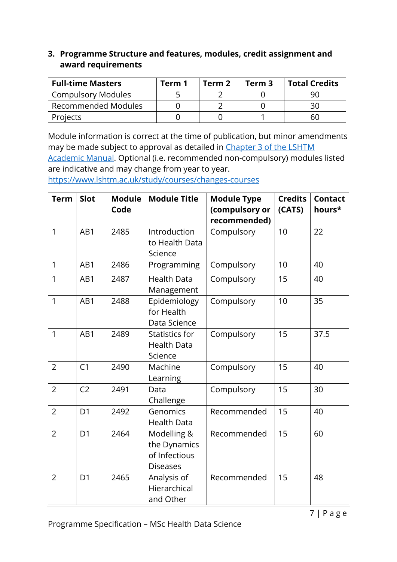## **3. Programme Structure and features, modules, credit assignment and award requirements**

| <b>Full-time Masters</b>  | Term 1 | Term 2 | Term 3 | <b>Total Credits</b> |
|---------------------------|--------|--------|--------|----------------------|
| <b>Compulsory Modules</b> |        |        |        |                      |
| Recommended Modules       |        |        |        |                      |
| <b>Projects</b>           |        |        |        | 60                   |

Module information is correct at the time of publication, but minor amendments may be made subject to approval as detailed in Chapter 3 of the LSHTM [Academic Manual.](https://www.lshtm.ac.uk/sites/default/files/academic-manual-chapter-03.pdf) Optional (i.e. recommended non-compulsory) modules listed

are indicative and may change from year to year.

<https://www.lshtm.ac.uk/study/courses/changes-courses>

| <b>Term</b>    | Slot           | <b>Module</b><br>Code | <b>Module Title</b>                                             | <b>Module Type</b><br>(compulsory or<br>recommended) | <b>Credits</b><br>(CATS) | <b>Contact</b><br>hours* |
|----------------|----------------|-----------------------|-----------------------------------------------------------------|------------------------------------------------------|--------------------------|--------------------------|
| $\mathbf{1}$   | AB1            | 2485                  | Introduction<br>to Health Data<br>Science                       | Compulsory                                           | 10                       | 22                       |
| $\mathbf{1}$   | AB1            | 2486                  | Programming                                                     | Compulsory                                           | 10                       | 40                       |
| 1              | AB1            | 2487                  | <b>Health Data</b><br>Management                                | Compulsory                                           | 15                       | 40                       |
| 1              | AB1            | 2488                  | Epidemiology<br>for Health<br>Data Science                      | Compulsory                                           | 10                       | 35                       |
| 1              | AB1            | 2489                  | Statistics for<br><b>Health Data</b><br>Science                 | Compulsory                                           | 15                       | 37.5                     |
| $\overline{2}$ | C <sub>1</sub> | 2490                  | Machine<br>Learning                                             | Compulsory                                           | 15                       | 40                       |
| $\overline{2}$ | C <sub>2</sub> | 2491                  | Data<br>Challenge                                               | Compulsory                                           | 15                       | 30                       |
| $\overline{2}$ | D <sub>1</sub> | 2492                  | Genomics<br><b>Health Data</b>                                  | Recommended                                          | 15                       | 40                       |
| $\overline{2}$ | D <sub>1</sub> | 2464                  | Modelling &<br>the Dynamics<br>of Infectious<br><b>Diseases</b> | Recommended                                          | 15                       | 60                       |
| $\overline{2}$ | D <sub>1</sub> | 2465                  | Analysis of<br>Hierarchical<br>and Other                        | Recommended                                          | 15                       | 48                       |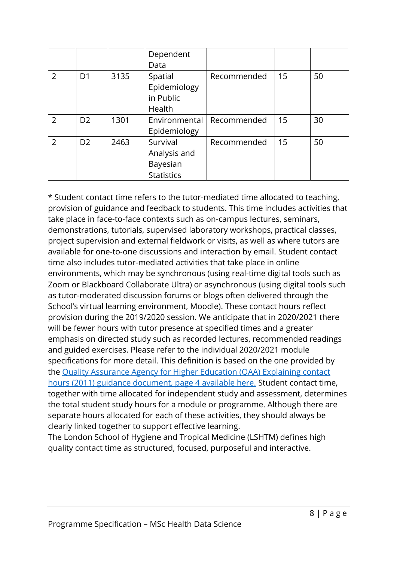|                |                |      | Dependent         |             |    |    |
|----------------|----------------|------|-------------------|-------------|----|----|
|                |                |      | Data              |             |    |    |
| $\overline{2}$ | D <sub>1</sub> | 3135 | Spatial           | Recommended | 15 | 50 |
|                |                |      | Epidemiology      |             |    |    |
|                |                |      | in Public         |             |    |    |
|                |                |      | Health            |             |    |    |
| $\overline{2}$ | D <sub>2</sub> | 1301 | Environmental     | Recommended | 15 | 30 |
|                |                |      | Epidemiology      |             |    |    |
| $\overline{2}$ | D <sub>2</sub> | 2463 | Survival          | Recommended | 15 | 50 |
|                |                |      | Analysis and      |             |    |    |
|                |                |      | Bayesian          |             |    |    |
|                |                |      | <b>Statistics</b> |             |    |    |

\* Student contact time refers to the tutor-mediated time allocated to teaching, provision of guidance and feedback to students. This time includes activities that take place in face-to-face contexts such as on-campus lectures, seminars, demonstrations, tutorials, supervised laboratory workshops, practical classes, project supervision and external fieldwork or visits, as well as where tutors are available for one-to-one discussions and interaction by email. Student contact time also includes tutor-mediated activities that take place in online environments, which may be synchronous (using real-time digital tools such as Zoom or Blackboard Collaborate Ultra) or asynchronous (using digital tools such as tutor-moderated discussion forums or blogs often delivered through the School's virtual learning environment, Moodle). These contact hours reflect provision during the 2019/2020 session. We anticipate that in 2020/2021 there will be fewer hours with tutor presence at specified times and a greater emphasis on directed study such as recorded lectures, recommended readings and guided exercises. Please refer to the individual 2020/2021 module specifications for more detail. This definition is based on the one provided by the [Quality Assurance Agency for Higher Education \(QAA\) Explaining contact](https://www.qaa.ac.uk/docs/qaa/quality-code/contact-hours-guidance.pdf)  [hours \(2011\) guidance document, page 4 available here.](https://www.qaa.ac.uk/docs/qaa/quality-code/contact-hours-guidance.pdf) Student contact time, together with time allocated for independent study and assessment, determines the total student study hours for a module or programme. Although there are separate hours allocated for each of these activities, they should always be clearly linked together to support effective learning.

The London School of Hygiene and Tropical Medicine (LSHTM) defines high quality contact time as structured, focused, purposeful and interactive.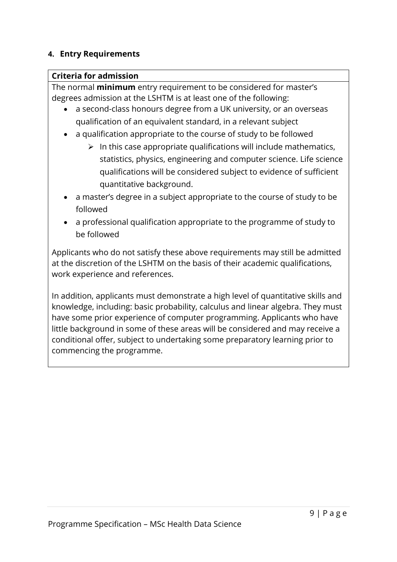#### **4. Entry Requirements**

#### **Criteria for admission**

The normal **minimum** entry requirement to be considered for master's degrees admission at the LSHTM is at least one of the following:

- a second-class honours degree from a UK university, or an overseas qualification of an equivalent standard, in a relevant subject
- a qualification appropriate to the course of study to be followed
	- $\triangleright$  In this case appropriate qualifications will include mathematics, statistics, physics, engineering and computer science. Life science qualifications will be considered subject to evidence of sufficient quantitative background.
- a master's degree in a subject appropriate to the course of study to be followed
- a professional qualification appropriate to the programme of study to be followed

Applicants who do not satisfy these above requirements may still be admitted at the discretion of the LSHTM on the basis of their academic qualifications, work experience and references.

In addition, applicants must demonstrate a high level of quantitative skills and knowledge, including: basic probability, calculus and linear algebra. They must have some prior experience of computer programming. Applicants who have little background in some of these areas will be considered and may receive a conditional offer, subject to undertaking some preparatory learning prior to commencing the programme.